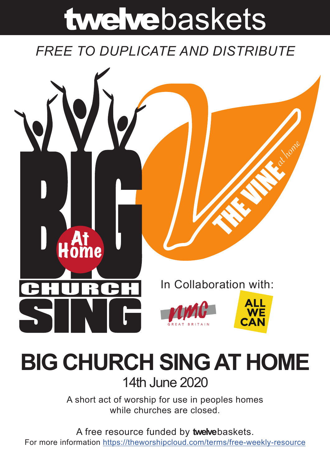# twelvebaskets

## *FREE TO DUPLICATE AND DISTRIBUTE*



## **BIG CHURCH SING AT HOME** 14th June 2020

A short act of worship for use in peoples homes while churches are closed.

A free resource funded by **twelve**baskets. For more information https://theworshipcloud.com/terms/free-weekly-resource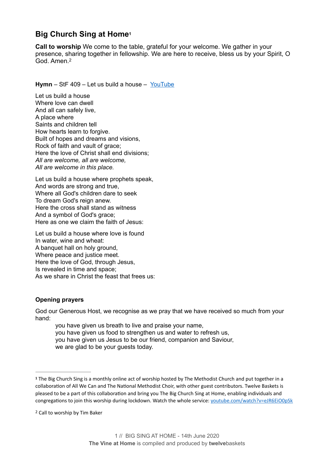### <span id="page-1-2"></span>**Big Church Sing at Home[1](#page-1-0)**

<span id="page-1-3"></span>**Call to worship** We come to the table, grateful for your welcome. We gather in your presence, sharing together in fellowship. We are here to receive, bless us by your Spirit, O God. Amen.<sup>[2](#page-1-1)</sup>

**Hymn** – StF 409 – Let us build a house – [YouTube](https://www.youtube.com/watch?v=eJR6EiO0pSk)

Let us build a house Where love can dwell And all can safely live, A place where Saints and children tell How hearts learn to forgive. Built of hopes and dreams and visions, Rock of faith and vault of grace; Here the love of Christ shall end divisions; *All are welcome, all are welcome, All are welcome in this place.*

Let us build a house where prophets speak, And words are strong and true, Where all God's children dare to seek To dream God's reign anew. Here the cross shall stand as witness And a symbol of God's grace; Here as one we claim the faith of Jesus:

Let us build a house where love is found In water, wine and wheat: A banquet hall on holy ground, Where peace and justice meet. Here the love of God, through Jesus, Is revealed in time and space; As we share in Christ the feast that frees us:

#### **Opening prayers**

God our Generous Host, we recognise as we pray that we have received so much from your hand:

you have given us breath to live and praise your name, you have given us food to strengthen us and water to refresh us, you have given us Jesus to be our friend, companion and Saviour, we are glad to be your guests today.

<span id="page-1-0"></span>The Big Church Sing is a monthly online act of worship hosted by The Methodist Church and put together in a **[1](#page-1-2)** collaboration of All We Can and The National Methodist Choir, with other guest contributors. Twelve Baskets is pleased to be a part of this collaboration and bring you The Big Church Sing at Home, enabling individuals and congregations to join this worship during lockdown. Watch the whole service: [youtube.com/watch?v=eJR6EiO0pSk](https://www.youtube.com/watch?v=eJR6EiO0pSk)

<span id="page-1-1"></span><sup>&</sup>lt;sup>[2](#page-1-3)</sup> Call to worship by Tim Baker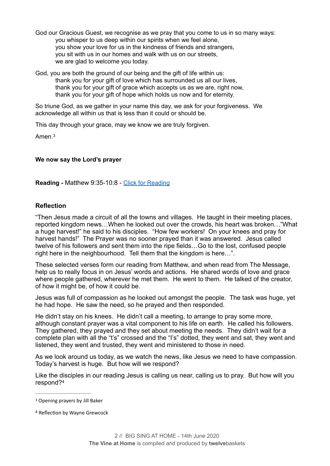- God our Gracious Guest, we recognise as we pray that you come to us in so many ways: you whisper to us deep within our spirits when we feel alone. you show your love for us in the kindness of friends and strangers, you sit with us in our homes and walk with us on our streets, we are glad to welcome you today.
- God, you are both the ground of our being and the gift of life within us: thank you for your gift of love which has surrounded us all our lives, thank you for your gift of grace which accepts us as we are, right now, thank you for your gift of hope which holds us now and for eternity.

So triune God, as we gather in your name this day, we ask for your forgiveness. We acknowledge all within us that is less than it could or should be.

This day through your grace, may we know we are truly forgiven.

<span id="page-2-2"></span>Amen.[3](#page-2-0)

#### **We now say the Lord's prayer**

**Reading -** Matthew 9:35-10:8 - [Click for Reading](https://www.biblegateway.com/passage/?search=Matthew+9:35-10:8&version=NRSV)

#### **Reflection**

"Then Jesus made a circuit of all the towns and villages. He taught in their meeting places, reported kingdom news…When he looked out over the crowds, his heart was broken…"What a huge harvest!" he said to his disciples. "How few workers! On your knees and pray for harvest hands!" The Prayer was no sooner prayed than it was answered. Jesus called twelve of his followers and sent them into the ripe fields…Go to the lost, confused people right here in the neighbourhood. Tell them that the kingdom is here…".

These selected verses form our reading from Matthew, and when read from The Message, help us to really focus in on Jesus' words and actions. He shared words of love and grace where people gathered, wherever he met them. He went to them. He talked of the creator, of how it might be, of how it could be.

Jesus was full of compassion as he looked out amongst the people. The task was huge, yet he had hope. He saw the need, so he prayed and then responded.

He didn't stay on his knees. He didn't call a meeting, to arrange to pray some more, although constant prayer was a vital component to his life on earth. He called his followers. They gathered, they prayed and they set about meeting the needs. They didn't wait for a complete plan with all the "t's" crossed and the "I's" dotted, they went and sat, they went and listened, they went and trusted, they went and ministered to those in need.

As we look around us today, as we watch the news, like Jesus we need to have compassion. Today's harvest is huge. But how will we respond?

<span id="page-2-3"></span>Like the disciples in our reading Jesus is calling us near, calling us to pray. But how will you respond?[4](#page-2-1)

<span id="page-2-0"></span><sup>&</sup>lt;sup>[3](#page-2-2)</sup> Opening prayers by Jill Baker

<span id="page-2-1"></span><sup>&</sup>lt;sup>[4](#page-2-3)</sup> Reflection by Wayne Grewcock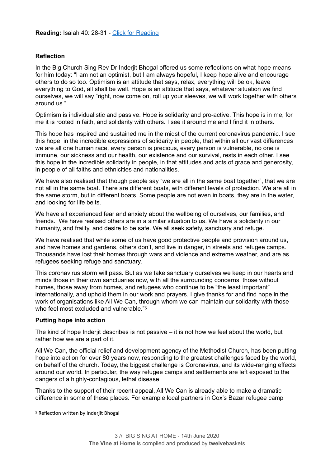#### **Reflection**

In the Big Church Sing Rev Dr Inderjit Bhogal offered us some reflections on what hope means for him today: "I am not an optimist, but I am always hopeful, I keep hope alive and encourage others to do so too. Optimism is an attitude that says, relax, everything will be ok, leave everything to God, all shall be well. Hope is an attitude that says, whatever situation we find ourselves, we will say "right, now come on, roll up your sleeves, we will work together with others around us."

Optimism is individualistic and passive. Hope is solidarity and pro-active. This hope is in me, for me it is rooted in faith, and solidarity with others. I see it around me and I find it in others.

This hope has inspired and sustained me in the midst of the current coronavirus pandemic. I see this hope in the incredible expressions of solidarity in people, that within all our vast differences we are all one human race, every person is precious, every person is vulnerable, no one is immune, our sickness and our health, our existence and our survival, rests in each other. I see this hope in the incredible solidarity in people, in that attitudes and acts of grace and generosity, in people of all faiths and ethnicities and nationalities.

We have also realised that though people say "we are all in the same boat together", that we are not all in the same boat. There are different boats, with different levels of protection. We are all in the same storm, but in different boats. Some people are not even in boats, they are in the water, and looking for life belts.

We have all experienced fear and anxiety about the wellbeing of ourselves, our families, and friends. We have realised others are in a similar situation to us. We have a solidarity in our humanity, and frailty, and desire to be safe. We all seek safety, sanctuary and refuge.

We have realised that while some of us have good protective people and provision around us, and have homes and gardens, others don't, and live in danger, in streets and refugee camps. Thousands have lost their homes through wars and violence and extreme weather, and are as refugees seeking refuge and sanctuary.

This coronavirus storm will pass. But as we take sanctuary ourselves we keep in our hearts and minds those in their own sanctuaries now, with all the surrounding concerns, those without homes, those away from homes, and refugees who continue to be "the least important" internationally, and uphold them in our work and prayers. I give thanks for and find hope in the work of organisations like All We Can, through whom we can maintain our solidarity with those who feel most excluded and vulnerable."<sup>[5](#page-3-0)</sup>

#### <span id="page-3-1"></span>**Putting hope into action**

The kind of hope Inderjit describes is not passive  $-$  it is not how we feel about the world, but rather how we are a part of it.

All We Can, the official relief and development agency of the Methodist Church, has been putting hope into action for over 80 years now, responding to the greatest challenges faced by the world, on behalf of the church. Today, the biggest challenge is Coronavirus, and its wide-ranging effects around our world. In particular, the way refugee camps and settlements are left exposed to the dangers of a highly-contagious, lethal disease.

Thanks to the support of their recent appeal, All We Can is already able to make a dramatic difference in some of these places. For example local partners in Cox's Bazar refugee camp

<span id="page-3-0"></span><sup>&</sup>lt;sup>[5](#page-3-1)</sup> Reflection written by Inderjit Bhogal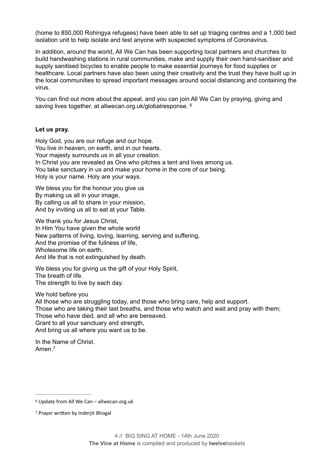(home to 850,000 Rohingya refugees) have been able to set up triaging centres and a 1,000 bed isolation unit to help isolate and test anyone with suspected symptoms of Coronavirus.

In addition, around the world, All We Can has been supporting local partners and churches to build handwashing stations in rural communities, make and supply their own hand-sanitiser and supply sanitised bicycles to enable people to make essential journeys for food supplies or healthcare. Local partners have also been using their creativity and the trust they have built up in the local communities to spread important messages around social distancing and containing the virus.

<span id="page-4-2"></span>You can find out more about the appeal, and you can join All We Can by praying, giving and saving lives together, at allwecan.org.uk/globalresponse. <sup>6</sup>

#### **Let us pray.**

Holy God, you are our refuge and our hope. You live in heaven, on earth, and in our hearts. Your majesty surrounds us in all your creation. In Christ you are revealed as One who pitches a tent and lives among us. You take sanctuary in us and make your home in the core of our being. Holy is your name. Holy are your ways.

We bless you for the honour you give us By making us all in your image, By calling us all to share in your mission, And by inviting us all to eat at your Table.

We thank you for Jesus Christ. In Him You have given the whole world New patterns of living, loving, learning, serving and suffering, And the promise of the fullness of life, Wholesome life on earth, And life that is not extinguished by death.

We bless you for giving us the gift of your Holy Spirit, The breath of life. The strength to live by each day.

We hold before you

All those who are struggling today, and those who bring care, help and support. Those who are taking their last breaths, and those who watch and wait and pray with them; Those who have died, and all who are bereaved. Grant to all your sanctuary and strength, And bring us all where you want us to be.

<span id="page-4-3"></span>In the Name of Christ. Amen<sup>[7](#page-4-1)</sup>

<span id="page-4-0"></span>[<sup>6</sup>](#page-4-2) Update from All We Can – allwecan.org.uk

<span id="page-4-1"></span><sup>&</sup>lt;sup>[7](#page-4-3)</sup> Prayer written by Inderjit Bhogal